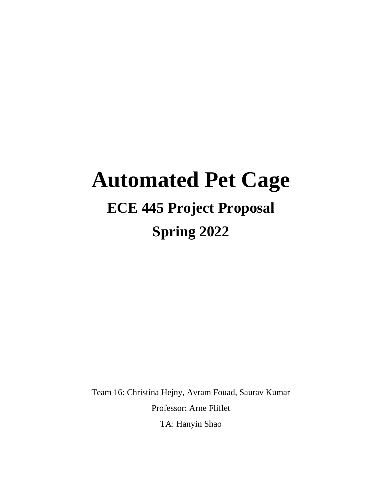# **Automated Pet Cage ECE 445 Project Proposal**

# **Spring 2022**

Team 16: Christina Hejny, Avram Fouad, Saurav Kumar Professor: Arne Fliflet

TA: Hanyin Shao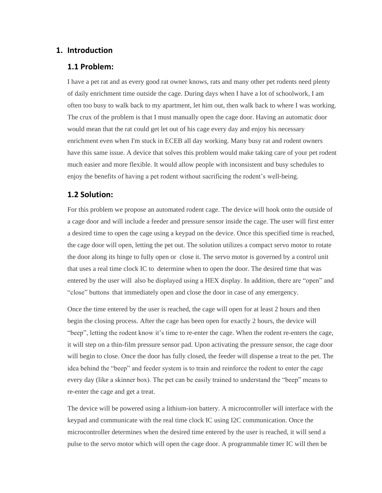#### **1. Introduction**

#### **1.1 Problem:**

I have a pet rat and as every good rat owner knows, rats and many other pet rodents need plenty of daily enrichment time outside the cage. During days when I have a lot of schoolwork, I am often too busy to walk back to my apartment, let him out, then walk back to where I was working. The crux of the problem is that I must manually open the cage door. Having an automatic door would mean that the rat could get let out of his cage every day and enjoy his necessary enrichment even when I'm stuck in ECEB all day working. Many busy rat and rodent owners have this same issue. A device that solves this problem would make taking care of your pet rodent much easier and more flexible. It would allow people with inconsistent and busy schedules to enjoy the benefits of having a pet rodent without sacrificing the rodent's well-being.

#### **1.2 Solution:**

For this problem we propose an automated rodent cage. The device will hook onto the outside of a cage door and will include a feeder and pressure sensor inside the cage. The user will first enter a desired time to open the cage using a keypad on the device. Once this specified time is reached, the cage door will open, letting the pet out. The solution utilizes a compact servo motor to rotate the door along its hinge to fully open or close it. The servo motor is governed by a control unit that uses a real time clock IC to determine when to open the door. The desired time that was entered by the user will also be displayed using a HEX display. In addition, there are "open" and "close" buttons that immediately open and close the door in case of any emergency.

Once the time entered by the user is reached, the cage will open for at least 2 hours and then begin the closing process. After the cage has been open for exactly 2 hours, the device will "beep", letting the rodent know it's time to re-enter the cage. When the rodent re-enters the cage, it will step on a thin-film pressure sensor pad. Upon activating the pressure sensor, the cage door will begin to close. Once the door has fully closed, the feeder will dispense a treat to the pet. The idea behind the "beep" and feeder system is to train and reinforce the rodent to enter the cage every day (like a skinner box). The pet can be easily trained to understand the "beep" means to re-enter the cage and get a treat.

The device will be powered using a lithium-ion battery. A microcontroller will interface with the keypad and communicate with the real time clock IC using I2C communication. Once the microcontroller determines when the desired time entered by the user is reached, it will send a pulse to the servo motor which will open the cage door. A programmable timer IC will then be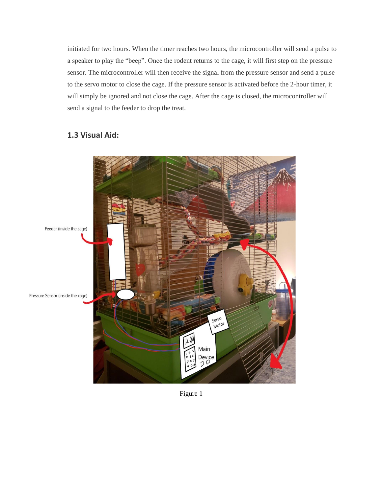initiated for two hours. When the timer reaches two hours, the microcontroller will send a pulse to a speaker to play the "beep". Once the rodent returns to the cage, it will first step on the pressure sensor. The microcontroller will then receive the signal from the pressure sensor and send a pulse to the servo motor to close the cage. If the pressure sensor is activated before the 2-hour timer, it will simply be ignored and not close the cage. After the cage is closed, the microcontroller will send a signal to the feeder to drop the treat.

# **1.3 Visual Aid:**



Figure 1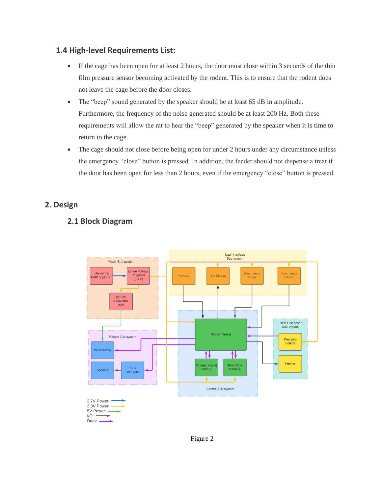# **1.4 High-level Requirements List:**

- If the cage has been open for at least 2 hours, the door must close within 3 seconds of the thin film pressure sensor becoming activated by the rodent. This is to ensure that the rodent does not leave the cage before the door closes.
- The "beep" sound generated by the speaker should be at least 65 dB in amplitude. Furthermore, the frequency of the noise generated should be at least 200 Hz. Both these requirements will allow the rat to hear the "beep" generated by the speaker when it is time to return to the cage.
- The cage should not close before being open for under 2 hours under any circumstance unless the emergency "close" button is pressed. In addition, the feeder should not dispense a treat if the door has been open for less than 2 hours, even if the emergency "close" button is pressed.

## **2. Design**

# **2.1 Block Diagram**



Figure 2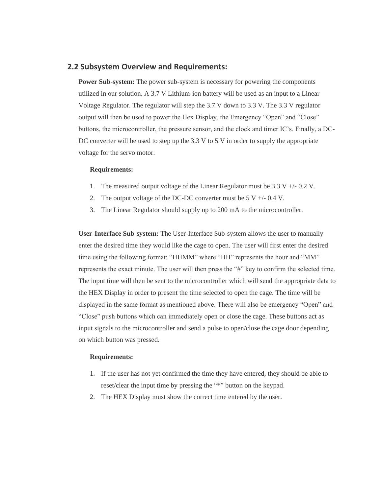#### **2.2 Subsystem Overview and Requirements:**

**Power Sub-system:** The power sub-system is necessary for powering the components utilized in our solution. A 3.7 V Lithium-ion battery will be used as an input to a Linear Voltage Regulator. The regulator will step the 3.7 V down to 3.3 V. The 3.3 V regulator output will then be used to power the Hex Display, the Emergency "Open" and "Close" buttons, the microcontroller, the pressure sensor, and the clock and timer IC's. Finally, a DC-DC converter will be used to step up the  $3.3 \text{ V}$  to  $5 \text{ V}$  in order to supply the appropriate voltage for the servo motor.

#### **Requirements:**

- 1. The measured output voltage of the Linear Regulator must be 3.3 V +/- 0.2 V.
- 2. The output voltage of the DC-DC converter must be  $5 V +1$  0.4 V.
- 3. The Linear Regulator should supply up to 200 mA to the microcontroller.

**User-Interface Sub-system:** The User-Interface Sub-system allows the user to manually enter the desired time they would like the cage to open. The user will first enter the desired time using the following format: "HHMM" where "HH" represents the hour and "MM" represents the exact minute. The user will then press the "#" key to confirm the selected time. The input time will then be sent to the microcontroller which will send the appropriate data to the HEX Display in order to present the time selected to open the cage. The time will be displayed in the same format as mentioned above. There will also be emergency "Open" and "Close" push buttons which can immediately open or close the cage. These buttons act as input signals to the microcontroller and send a pulse to open/close the cage door depending on which button was pressed.

#### **Requirements:**

- 1. If the user has not yet confirmed the time they have entered, they should be able to reset/clear the input time by pressing the "\*" button on the keypad.
- 2. The HEX Display must show the correct time entered by the user.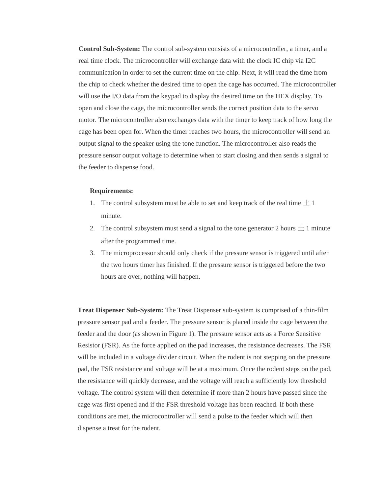**Control Sub-System:** The control sub-system consists of a microcontroller, a timer, and a real time clock. The microcontroller will exchange data with the clock IC chip via I2C communication in order to set the current time on the chip. Next, it will read the time from the chip to check whether the desired time to open the cage has occurred. The microcontroller will use the I/O data from the keypad to display the desired time on the HEX display. To open and close the cage, the microcontroller sends the correct position data to the servo motor. The microcontroller also exchanges data with the timer to keep track of how long the cage has been open for. When the timer reaches two hours, the microcontroller will send an output signal to the speaker using the tone function. The microcontroller also reads the pressure sensor output voltage to determine when to start closing and then sends a signal to the feeder to dispense food.

#### **Requirements:**

- 1. The control subsystem must be able to set and keep track of the real time  $\pm 1$ minute.
- 2. The control subsystem must send a signal to the tone generator 2 hours  $\pm$  1 minute after the programmed time.
- 3. The microprocessor should only check if the pressure sensor is triggered until after the two hours timer has finished. If the pressure sensor is triggered before the two hours are over, nothing will happen.

**Treat Dispenser Sub-System:** The Treat Dispenser sub-system is comprised of a thin-film pressure sensor pad and a feeder. The pressure sensor is placed inside the cage between the feeder and the door (as shown in Figure 1). The pressure sensor acts as a Force Sensitive Resistor (FSR). As the force applied on the pad increases, the resistance decreases. The FSR will be included in a voltage divider circuit. When the rodent is not stepping on the pressure pad, the FSR resistance and voltage will be at a maximum. Once the rodent steps on the pad, the resistance will quickly decrease, and the voltage will reach a sufficiently low threshold voltage. The control system will then determine if more than 2 hours have passed since the cage was first opened and if the FSR threshold voltage has been reached. If both these conditions are met, the microcontroller will send a pulse to the feeder which will then dispense a treat for the rodent.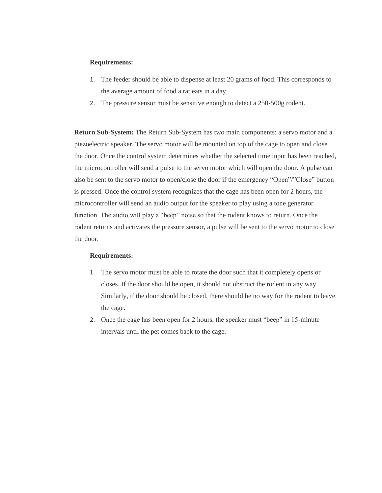#### **Requirements:**

- 1. The feeder should be able to dispense at least 20 grams of food. This corresponds to the average amount of food a rat eats in a day.
- 2. The pressure sensor must be sensitive enough to detect a 250-500g rodent.

**Return Sub-System:** The Return Sub-System has two main components: a servo motor and a piezoelectric speaker. The servo motor will be mounted on top of the cage to open and close the door. Once the control system determines whether the selected time input has been reached, the microcontroller will send a pulse to the servo motor which will open the door. A pulse can also be sent to the servo motor to open/close the door if the emergency "Open"/"Close" button is pressed. Once the control system recognizes that the cage has been open for 2 hours, the microcontroller will send an audio output for the speaker to play using a tone generator function. The audio will play a "beep" noise so that the rodent knows to return. Once the rodent returns and activates the pressure sensor, a pulse will be sent to the servo motor to close the door.

#### **Requirements:**

- 1. The servo motor must be able to rotate the door such that it completely opens or closes. If the door should be open, it should not obstruct the rodent in any way. Similarly, if the door should be closed, there should be no way for the rodent to leave the cage.
- 2. Once the cage has been open for 2 hours, the speaker must "beep" in 15-minute intervals until the pet comes back to the cage.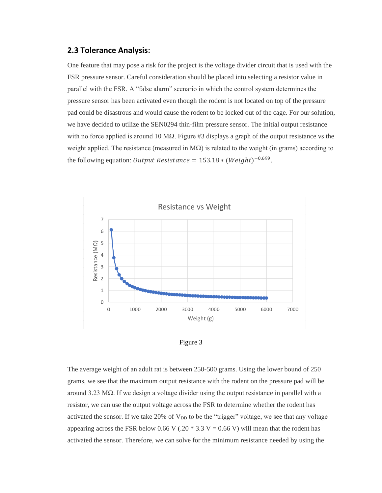#### **2.3 Tolerance Analysis:**

One feature that may pose a risk for the project is the voltage divider circuit that is used with the FSR pressure sensor. Careful consideration should be placed into selecting a resistor value in parallel with the FSR. A "false alarm" scenario in which the control system determines the pressure sensor has been activated even though the rodent is not located on top of the pressure pad could be disastrous and would cause the rodent to be locked out of the cage. For our solution, we have decided to utilize the SEN0294 thin-film pressure sensor. The initial output resistance with no force applied is around 10 M $\Omega$ . Figure #3 displays a graph of the output resistance vs the weight applied. The resistance (measured in  $M\Omega$ ) is related to the weight (in grams) according to the following equation: *Output Resistance* =  $153.18 * (Weight)^{-0.699}$ .



Figure 3

The average weight of an adult rat is between 250-500 grams. Using the lower bound of 250 grams, we see that the maximum output resistance with the rodent on the pressure pad will be around 3.23 MΩ. If we design a voltage divider using the output resistance in parallel with a resistor, we can use the output voltage across the FSR to determine whether the rodent has activated the sensor. If we take 20% of  $V_{DD}$  to be the "trigger" voltage, we see that any voltage appearing across the FSR below 0.66 V (.20  $*$  3.3 V = 0.66 V) will mean that the rodent has activated the sensor. Therefore, we can solve for the minimum resistance needed by using the